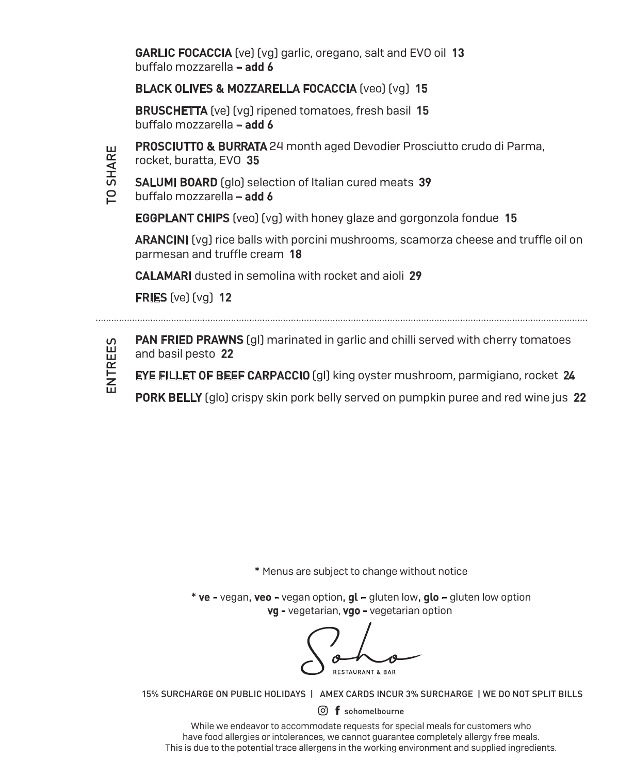GARLIC FOCACCIA (ve) (vg) garlic, oregano, salt and EVO oil 13 buffalo mozzarella – add 6

## BLACK OLIVES & MOZZARELLA FOCACCIA (veo) (vg) 15

**BRUSCHETTA** (ve) (vg) ripened tomatoes, fresh basil 15 buffalo mozzarella – add 6



PROSCIUTTO & BURRATA 24 month aged Devodier Prosciutto crudo di Parma,

rocket, buratta, EVO 35

- SALUMI BOARD (glo) selection of Italian cured meats 39
	- buffalo mozzarella add 6

EGGPLANT CHIPS (veo) (vg) with honey glaze and gorgonzola fondue 15

ARANCINI (vg) rice balls with porcini mushrooms, scamorza cheese and truffle oil on parmesan and truffle cream 18

CALAMARI dusted in semolina with rocket and aioli 29

FRIES (ve) (vg) 12



**PAN FRIED PRAWNS** (ql) marinated in garlic and chilli served with cherry tomatoes and basil pesto 22

EYE FILLET OF BEEF CARPACCIO (gl) king oyster mushroom, parmigiano, rocket 24

**PORK BELLY** (glo) crispy skin pork belly served on pumpkin puree and red wine jus 22

\* Menus are subject to change without notice

\* ve - vegan, veo - vegan option, gl – gluten low, glo – gluten low option vg - vegetarian, vgo - vegetarian option

**RESTAURANT & BAR** 

15% SURCHARGE ON PUBLIC HOLIDAYS | AMEX CARDS INCUR 3% SURCHARGE | WE DO NOT SPLIT BILLS

 $\odot$  f sohomelbourne

While we endeavor to accommodate requests for special meals for customers who have food allergies or intolerances, we cannot guarantee completely allergy free meals. This is due to the potential trace allergens in the working environment and supplied ingredients.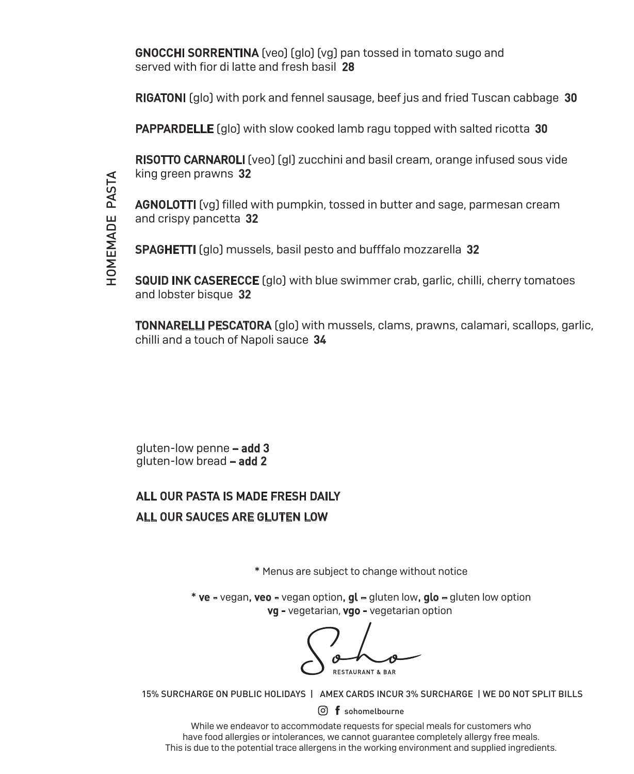**GNOCCHI SORRENTINA** (veo) (glo) (yg) pan tossed in tomato sugo and served with fior di latte and fresh basil 28

RIGATONI (glo) with pork and fennel sausage, beef jus and fried Tuscan cabbage 30

**PAPPARDELLE** (glo) with slow cooked lamb ragu topped with salted ricotta 30

RISOTTO CARNAROLI (veo) (ql) zucchini and basil cream, orange infused sous vide king green prawns 32

AGNOLOTTI (vg) filled with pumpkin, tossed in butter and sage, parmesan cream and crispy pancetta 32

SPAGHETTI (glo) mussels, basil pesto and bufffalo mozzarella 32

SQUID INK CASERECCE (glo) with blue swimmer crab, garlic, chilli, cherry tomatoes and lobster bisque 32

**TONNARELLI PESCATORA** (glo) with mussels, clams, prawns, calamari, scallops, garlic, chilli and a touch of Napoli sauce 34

gluten-low penne – add 3 gluten-low bread – add 2

## ALL OUR PASTA IS MADE FRESH DAILY ALL OUR SAUCES ARE GLUTEN LOW

\* Menus are subject to change without notice

\* ve - vegan, veo - vegan option, gl – gluten low, glo – gluten low option vg - vegetarian, vgo - vegetarian option

**RESTAURANT & BAR** 

15% SURCHARGE ON PUBLIC HOLIDAYS | AMEX CARDS INCUR 3% SURCHARGE | WE DO NOT SPLIT BILLS

 $\overline{0}$  f sohomelbourne

While we endeavor to accommodate requests for special meals for customers who have food allergies or intolerances, we cannot guarantee completely allergy free meals. This is due to the potential trace allergens in the working environment and supplied ingredients.

ุุุุุุุุุุุุุุ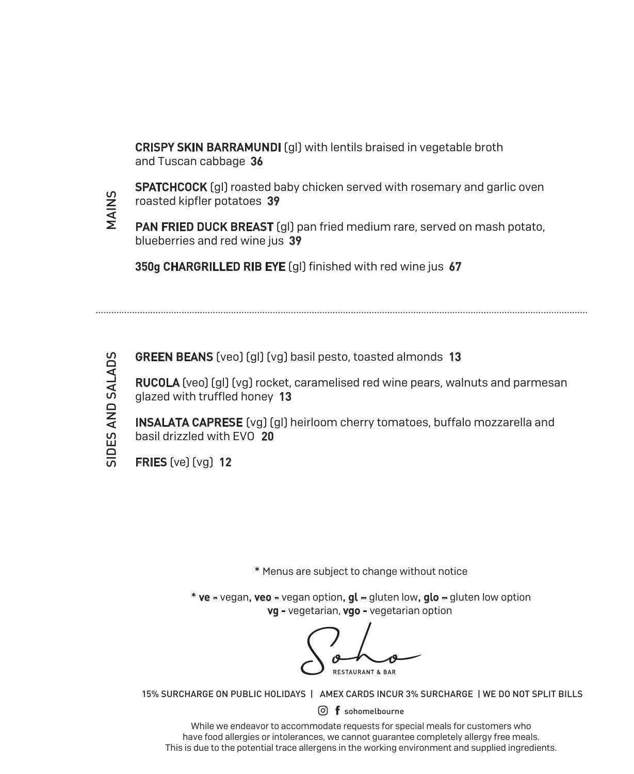CRISPY SKIN BARRAMUNDI (gl) with lentils braised in vegetable broth and Tuscan cabbage 36

**SPATCHCOCK** [gl] roasted baby chicken served with rosemary and garlic oven roasted kipfler potatoes 39

PAN FRIED DUCK BREAST (ql) pan fried medium rare, served on mash potato, blueberries and red wine jus 39

350g CHARGRILLED RIB EYE [gl] finished with red wine jus 67



**VIAINS** 

**GREEN BEANS** (veo) (gl) (vg) basil pesto, toasted almonds 13

RUCOLA (veo) (gl) (vg) rocket, caramelised red wine pears, walnuts and parmesan glazed with truffled honey 13

INSALATA CAPRESE (vg) (gl) heirloom cherry tomatoes, buffalo mozzarella and basil drizzled with EVO 20

FRIES (ve) (vg) 12

\* Menus are subject to change without notice

\* ve - vegan, veo - vegan option, gl – gluten low, glo – gluten low option vg - vegetarian, vgo - vegetarian option

**PESTALIPANT & RAI** 

15% SURCHARGE ON PUBLIC HOLIDAYS | AMEX CARDS INCUR 3% SURCHARGE | WE DO NOT SPLIT BILLS

 $\overline{0}$  f sohomelbourne

While we endeavor to accommodate requests for special meals for customers who have food allergies or intolerances, we cannot guarantee completely allergy free meals. This is due to the potential trace allergens in the working environment and supplied ingredients.